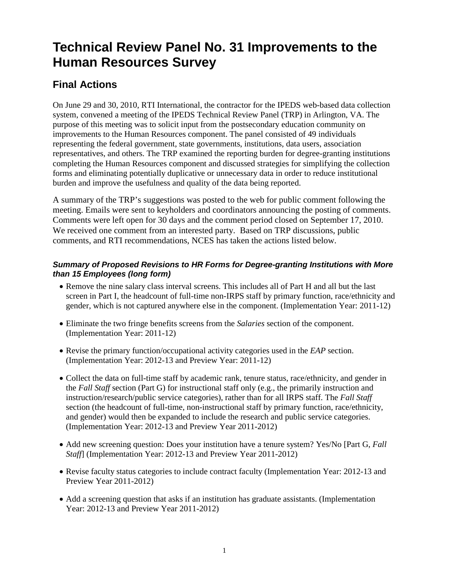## **Technical Review Panel No. 31 Improvements to the Human Resources Survey**

## **Final Actions**

On June 29 and 30, 2010, RTI International, the contractor for the IPEDS web-based data collection system, convened a meeting of the IPEDS Technical Review Panel (TRP) in Arlington, VA. The purpose of this meeting was to solicit input from the postsecondary education community on improvements to the Human Resources component. The panel consisted of 49 individuals representing the federal government, state governments, institutions, data users, association representatives, and others. The TRP examined the reporting burden for degree-granting institutions completing the Human Resources component and discussed strategies for simplifying the collection forms and eliminating potentially duplicative or unnecessary data in order to reduce institutional burden and improve the usefulness and quality of the data being reported.

A summary of the TRP's suggestions was posted to the web for public comment following the meeting. Emails were sent to keyholders and coordinators announcing the posting of comments. Comments were left open for 30 days and the comment period closed on September 17, 2010. We received one comment from an interested party. Based on TRP discussions, public comments, and RTI recommendations, NCES has taken the actions listed below.

## *Summary of Proposed Revisions to HR Forms for Degree-granting Institutions with More than 15 Employees (long form)*

- Remove the nine salary class interval screens. This includes all of Part H and all but the last screen in Part I, the headcount of full-time non-IRPS staff by primary function, race/ethnicity and gender, which is not captured anywhere else in the component. (Implementation Year: 2011-12)
- Eliminate the two fringe benefits screens from the *Salaries* section of the component. (Implementation Year: 2011-12)
- Revise the primary function/occupational activity categories used in the *EAP* section. (Implementation Year: 2012-13 and Preview Year: 2011-12)
- Collect the data on full-time staff by academic rank, tenure status, race/ethnicity, and gender in the *Fall Staff* section (Part G) for instructional staff only (e.g., the primarily instruction and instruction/research/public service categories), rather than for all IRPS staff. The *Fall Staff*  section (the headcount of full-time, non-instructional staff by primary function, race/ethnicity, and gender) would then be expanded to include the research and public service categories. (Implementation Year: 2012-13 and Preview Year 2011-2012)
- Add new screening question: Does your institution have a tenure system? Yes/No [Part G, *Fall Staff*] (Implementation Year: 2012-13 and Preview Year 2011-2012)
- Revise faculty status categories to include contract faculty (Implementation Year: 2012-13 and Preview Year 2011-2012)
- Add a screening question that asks if an institution has graduate assistants. (Implementation Year: 2012-13 and Preview Year 2011-2012)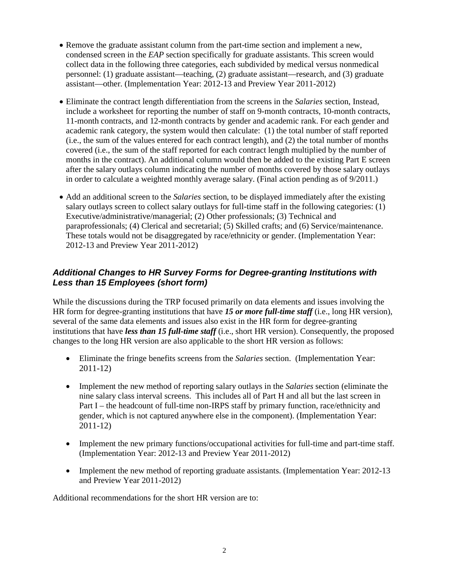- Remove the graduate assistant column from the part-time section and implement a new, condensed screen in the *EAP* section specifically for graduate assistants. This screen would collect data in the following three categories, each subdivided by medical versus nonmedical personnel: (1) graduate assistant—teaching, (2) graduate assistant—research, and (3) graduate assistant—other. (Implementation Year: 2012-13 and Preview Year 2011-2012)
- Eliminate the contract length differentiation from the screens in the *Salaries* section, Instead, include a worksheet for reporting the number of staff on 9-month contracts, 10-month contracts, 11-month contracts, and 12-month contracts by gender and academic rank. For each gender and academic rank category, the system would then calculate: (1) the total number of staff reported (i.e., the sum of the values entered for each contract length), and (2) the total number of months covered (i.e., the sum of the staff reported for each contract length multiplied by the number of months in the contract). An additional column would then be added to the existing Part E screen after the salary outlays column indicating the number of months covered by those salary outlays in order to calculate a weighted monthly average salary. (Final action pending as of 9/2011.)
- Add an additional screen to the *Salaries* section, to be displayed immediately after the existing salary outlays screen to collect salary outlays for full-time staff in the following categories: (1) Executive/administrative/managerial; (2) Other professionals; (3) Technical and paraprofessionals; (4) Clerical and secretarial; (5) Skilled crafts; and (6) Service/maintenance. These totals would not be disaggregated by race/ethnicity or gender. (Implementation Year: 2012-13 and Preview Year 2011-2012)

## *Additional Changes to HR Survey Forms for Degree-granting Institutions with Less than 15 Employees (short form)*

While the discussions during the TRP focused primarily on data elements and issues involving the HR form for degree-granting institutions that have *15 or more full-time staff* (i.e., long HR version), several of the same data elements and issues also exist in the HR form for degree-granting institutions that have *less than 15 full-time staff* (i.e., short HR version). Consequently, the proposed changes to the long HR version are also applicable to the short HR version as follows:

- Eliminate the fringe benefits screens from the *Salaries* section. (Implementation Year: 2011-12)
- Implement the new method of reporting salary outlays in the *Salaries* section (eliminate the nine salary class interval screens. This includes all of Part H and all but the last screen in Part I – the headcount of full-time non-IRPS staff by primary function, race/ethnicity and gender, which is not captured anywhere else in the component). (Implementation Year: 2011-12)
- Implement the new primary functions/occupational activities for full-time and part-time staff. (Implementation Year: 2012-13 and Preview Year 2011-2012)
- Implement the new method of reporting graduate assistants. (Implementation Year: 2012-13 and Preview Year 2011-2012)

Additional recommendations for the short HR version are to: